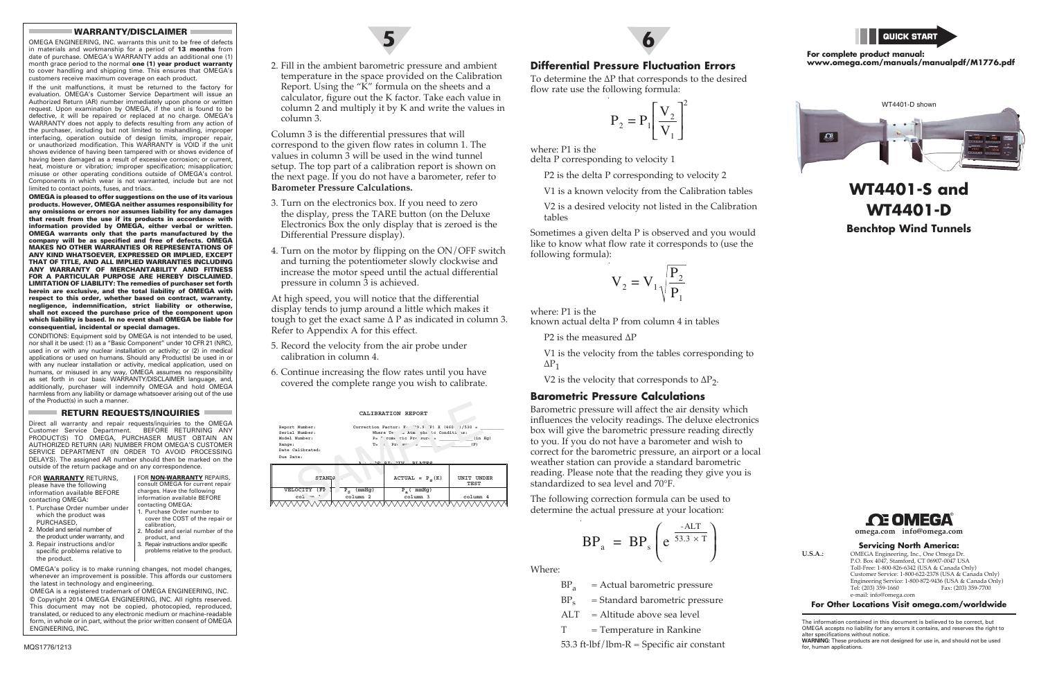2. Fill in the ambient barometric pressure and ambient temperature in the space provided on the Calibration Report. Using the "K" formula on the sheets and a calculator, figure out the K factor. Take each value in column 2 and multiply it by K and write the values in column 3.

Column 3 is the differential pressures that will correspond to the given flow rates in column 1. The values in column 3 will be used in the wind tunnel setup. The top part of a calibration report is shown on the next page. If you do not have a barometer, refer to **Barometer Pressure Calculations.**

- 3. Turn on the electronics box. If you need to zero the display, press the TARE button (on the Deluxe Electronics Box the only display that is zeroed is the Differential Pressure display).
- 4. Turn on the motor by flipping on the ON/OFF switch and turning the potentiometer slowly clockwise and increase the motor speed until the actual differential pressure in column 3 is achieved.

At high speed, you will notice that the differential display tends to jump around a little which makes it tough to get the exact same  $\Delta$  P as indicated in column 3. Refer to Appendix A for this effect.

- 5. Record the velocity from the air probe under calibration in column 4.
- 6. Continue increasing the flow rates until you have covered the complete range you wish to calibrate.





 V1 is the velocity from the tables corresponding to  $\Delta P_1$ 

V2 is the velocity that corresponds to  $\Delta P_2$ .

**6**

# **WT4401-S and WT4401-D Benchtop Wind Tunnels**



**Servicing North America:**

**U.S.A.:** OMEGA Engineering, Inc., One Omega Dr. P.O. Box 4047, Stamford, CT 06907-0047 USA Toll-Free: 1-800-826-6342 (USA & Canada Only) Customer Service: 1-800-622-2378 (USA & Canada Only) Engineering Service: 1-800-872-9436 (USA & Canada Only)<br>Tel: (203) 359-1660<br>Fax: (203) 359-7700 Fax: (203) 359-7700 e-mail: info@omega.com

**For Other Locations Visit omega.com/worldwide**

The information contained in this document is believed to be correct, but OMEGA accepts no liability for any errors it contains, and reserves the right to alter specifications without notice.

**WARNING:** These products are not designed for use in, and should not be used for, human applications.

## **Differential Pressure Fluctuation Errors**

To determine the ∆P that corresponds to the desired flow rate use the following formula:

$$
P_2 = P_1 \left[ \frac{V_2}{V_1} \right]^2
$$

where: P1 is the delta P corresponding to velocity 1

P2 is the delta P corresponding to velocity 2

V1 is a known velocity from the Calibration tables

 V2 is a desired velocity not listed in the Calibration tables

Sometimes a given delta P is observed and you would like to know what flow rate it corresponds to (use the following formula):

$$
V_2 = V_1 \sqrt{\frac{P_2}{P_1}}
$$

where: P1 is the

known actual delta P from column 4 in tables

P<sub>2</sub> is the measured ∆P

#### **Barometric Pressure Calculations**

Barometric pressure will affect the air density which influences the velocity readings. The deluxe electronics box will give the barometric pressure reading directly to you. If you do not have a barometer and wish to correct for the barometric pressure, an airport or a local weather station can provide a standard barometric reading. Please note that the reading they give you is standardized to sea level and 70°F.

The following correction formula can be used to determine the actual pressure at your location:

$$
BP_a = BP_s \left( e^{\frac{-ALT}{53.3 \times T}} \right)
$$

Where:

- $BP<sub>s</sub>$  = Standard barometric pressure
- $ALT = Altitude above sea level$
- $T = T$ emperature in Rankine

 $\text{MQS1776/1213}$  ft-lbf/lbm-R  $=$  Specific air constant  $\text{MAS1776/1213}$  for, human applications.

#### **For complete product manual: www.omega.com/manuals/manualpdf/M1776.pdf**





#### WARRANTY/DISCLAIMER

OMEGA ENGINEERING, INC. warrants this unit to be free of defects in materials and workmanship for a period of 13 months from date of purchase. OMEGA's WARRANTY adds an additional one (1) month grace period to the normal one (1) year product warranty to cover handling and shipping time. This ensures that OMEGA's customers receive maximum coverage on each product.

If the unit malfunctions, it must be returned to the factory for evaluation. OMEGA's Customer Service Department will issue an Authorized Return (AR) number immediately upon phone or written request. Upon examination by OMEGA, if the unit is found to be defective, it will be repaired or replaced at no charge. OMEGA's WARRANTY does not apply to defects resulting from any action of the purchaser, including but not limited to mishandling, improper interfacing, operation outside of design limits, improper repair, or unauthorized modification. This WARRANTY is VOID if the unit shows evidence of having been tampered with or shows evidence of having been damaged as a result of excessive corrosion; or current, heat, moisture or vibration; improper specification; misapplication; misuse or other operating conditions outside of OMEGA's control. Components in which wear is not warranted, include but are not limited to contact points, fuses, and triacs.

OMEGA is pleased to offer suggestions on the use of its various products. However, OMEGA neither assumes responsibility for any omissions or errors nor assumes liability for any damages that result from the use if its products in accordance with information provided by OMEGA, either verbal or written. OMEGA warrants only that the parts manufactured by the company will be as specified and free of defects. OMEGA MAKES NO OTHER WARRANTIES OR REPRESENTATIONS OF ANY KIND WHATSOEVER, EXPRESSED OR IMPLIED, EXCEPT THAT OF TITLE, AND ALL IMPLIED WARRANTIES INCLUDING ANY WARRANTY OF MERCHANTABILITY AND FITNESS FOR A PARTICULAR PURPOSE ARE HEREBY DISCLAIMED. LIMITATION OF LIABILITY: The remedies of purchaser set forth herein are exclusive, and the total liability of OMEGA with respect to this order, whether based on contract, warranty, negligence, indemnification, strict liability or otherwise, shall not exceed the purchase price of the component upon which liability is based. In no event shall OMEGA be liable for consequential, incidental or special damages.

CONDITIONS: Equipment sold by OMEGA is not intended to be used, nor shall it be used: (1) as a "Basic Component" under 10 CFR 21 (NRC), used in or with any nuclear installation or activity; or (2) in medical applications or used on humans. Should any Product(s) be used in or with any nuclear installation or activity, medical application, used on humans, or misused in any way, OMEGA assumes no responsibility as set forth in our basic WARRANTY/DISCLAIMER language, and, additionally, purchaser will indemnify OMEGA and hold OMEGA harmless from any liability or damage whatsoever arising out of the use of the Product(s) in such a manner.

#### RETURN REQUESTS/INQUIRIES

Direct all warranty and repair requests/inquiries to the OMEGA Customer Service Department. BEFORE RETURNING ANY PRODUCT(S) TO OMEGA, PURCHASER MUST OBTAIN AN AUTHORIZED RETURN (AR) NUMBER FROM OMEGA'S CUSTOMER SERVICE DEPARTMENT (IN ORDER TO AVOID PROCESSING DELAYS). The assigned AR number should then be marked on the outside of the return package and on any correspondence.

| FOR WARRANTY RETURNS.<br>please have the following<br>information available BEFORE<br>contacting OMEGA:<br>1. Purchase Order number under                                                 | <b>FOR NON-WARRAN</b><br>consult OMEGA for<br>charges. Have the fo<br>information availab<br>contacting OMEGA:<br>1. Purchase Order r |
|-------------------------------------------------------------------------------------------------------------------------------------------------------------------------------------------|---------------------------------------------------------------------------------------------------------------------------------------|
| which the product was<br>PURCHASED,<br>2. Model and serial number of<br>the product under warranty, and<br>3. Repair instructions and/or<br>specific problems relative to<br>the product. | cover the COST<br>calibration,<br>2. Model and serial<br>product, and<br>3. Repair instructions<br>problems relative                  |

**RANTY REPAIRS**, for current repair e following lable BEFORE

- er number to ST of the repair or
- rial number of the
- ons and/or specific ive to the product.

OMEGA's policy is to make running changes, not model changes, whenever an improvement is possible. This affords our customers the latest in technology and engineering.

OMEGA is a registered trademark of OMEGA ENGINEERING, INC. © Copyright 2014 OMEGA ENGINEERING, INC. All rights reserved. This document may not be copied, photocopied, reproduced, translated, or reduced to any electronic medium or machine-readable form, in whole or in part, without the prior written consent of OMEGA ENGINEERING, INC.